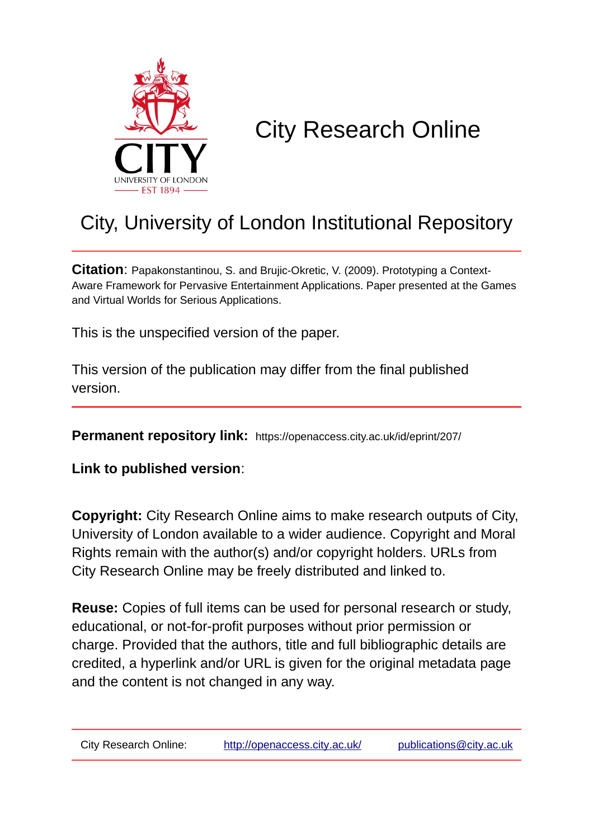

# City Research Online

# City, University of London Institutional Repository

**Citation**: Papakonstantinou, S. and Brujic-Okretic, V. (2009). Prototyping a Context-Aware Framework for Pervasive Entertainment Applications. Paper presented at the Games and Virtual Worlds for Serious Applications.

This is the unspecified version of the paper.

This version of the publication may differ from the final published version.

**Permanent repository link:** https://openaccess.city.ac.uk/id/eprint/207/

**Link to published version**:

**Copyright:** City Research Online aims to make research outputs of City, University of London available to a wider audience. Copyright and Moral Rights remain with the author(s) and/or copyright holders. URLs from City Research Online may be freely distributed and linked to.

**Reuse:** Copies of full items can be used for personal research or study, educational, or not-for-profit purposes without prior permission or charge. Provided that the authors, title and full bibliographic details are credited, a hyperlink and/or URL is given for the original metadata page and the content is not changed in any way.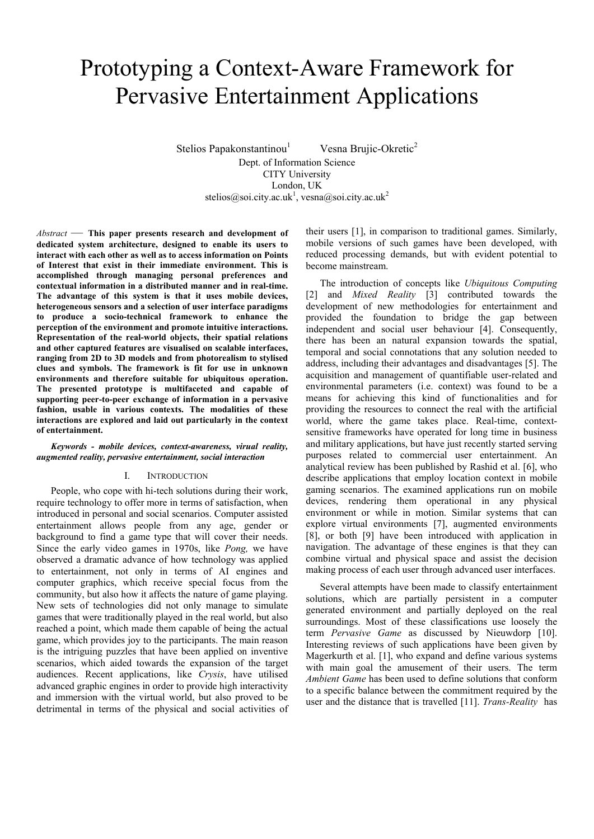# Prototyping a Context-Aware Framework for Pervasive Entertainment Applications

Stelios Papakonstantinou<sup>1</sup> Vesna Brujic-Okretic<sup>2</sup> Dept. of Information Science CITY University London, UK stelios@soi.city.ac.uk<sup>1</sup>, vesna@soi.city.ac.uk<sup>2</sup>

*Abstract* — **This paper presents research and development of dedicated system architecture, designed to enable its users to interact with each other as well as to access information on Points of Interest that exist in their immediate environment. This is accomplished through managing personal preferences and contextual information in a distributed manner and in real-time. The advantage of this system is that it uses mobile devices, heterogeneous sensors and a selection of user interface paradigms to produce a socio-technical framework to enhance the perception of the environment and promote intuitive interactions. Representation of the real-world objects, their spatial relations and other captured features are visualised on scalable interfaces, ranging from 2D to 3D models and from photorealism to stylised clues and symbols. The framework is fit for use in unknown environments and therefore suitable for ubiquitous operation. The presented prototype is multifaceted and capable of supporting peer-to-peer exchange of information in a pervasive fashion, usable in various contexts. The modalities of these interactions are explored and laid out particularly in the context of entertainment.** 

#### *Keywords - mobile devices, context-awareness, virual reality, augmented reality, pervasive entertainment, social interaction*

#### I. INTRODUCTION

People, who cope with hi-tech solutions during their work, require technology to offer more in terms of satisfaction, when introduced in personal and social scenarios. Computer assisted entertainment allows people from any age, gender or background to find a game type that will cover their needs. Since the early video games in 1970s, like *Pong,* we have observed a dramatic advance of how technology was applied to entertainment, not only in terms of AI engines and computer graphics, which receive special focus from the community, but also how it affects the nature of game playing. New sets of technologies did not only manage to simulate games that were traditionally played in the real world, but also reached a point, which made them capable of being the actual game, which provides joy to the participants. The main reason is the intriguing puzzles that have been applied on inventive scenarios, which aided towards the expansion of the target audiences. Recent applications, like *Crysis*, have utilised advanced graphic engines in order to provide high interactivity and immersion with the virtual world, but also proved to be detrimental in terms of the physical and social activities of

their users [1], in comparison to traditional games. Similarly, mobile versions of such games have been developed, with reduced processing demands, but with evident potential to become mainstream.

The introduction of concepts like *Ubiquitous Computing* [2] and *Mixed Reality* [3] contributed towards the development of new methodologies for entertainment and provided the foundation to bridge the gap between independent and social user behaviour [4]. Consequently, there has been an natural expansion towards the spatial, temporal and social connotations that any solution needed to address, including their advantages and disadvantages [5]. The acquisition and management of quantifiable user-related and environmental parameters (i.e. context) was found to be a means for achieving this kind of functionalities and for providing the resources to connect the real with the artificial world, where the game takes place. Real-time, contextsensitive frameworks have operated for long time in business and military applications, but have just recently started serving purposes related to commercial user entertainment. An analytical review has been published by Rashid et al. [6], who describe applications that employ location context in mobile gaming scenarios. The examined applications run on mobile devices, rendering them operational in any physical environment or while in motion. Similar systems that can explore virtual environments [7], augmented environments [8], or both [9] have been introduced with application in navigation. The advantage of these engines is that they can combine virtual and physical space and assist the decision making process of each user through advanced user interfaces.

Several attempts have been made to classify entertainment solutions, which are partially persistent in a computer generated environment and partially deployed on the real surroundings. Most of these classifications use loosely the term *Pervasive Game* as discussed by Nieuwdorp [10]. Interesting reviews of such applications have been given by Magerkurth et al. [1], who expand and define various systems with main goal the amusement of their users. The term *Ambient Game* has been used to define solutions that conform to a specific balance between the commitment required by the user and the distance that is travelled [11]. *Trans-Reality* has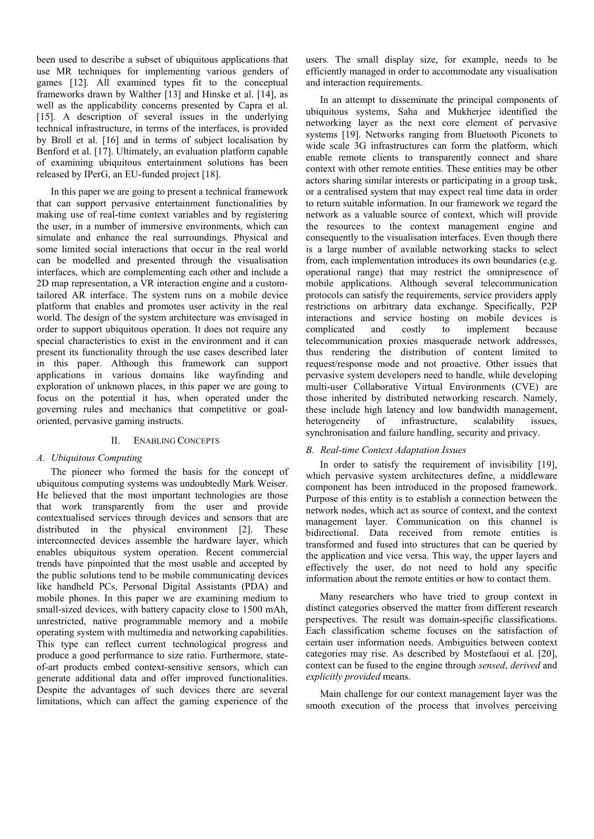been used to describe a subset of ubiquitous applications that use MR techniques for implementing various genders of games [12]. All examined types fit to the conceptual frameworks drawn by Walther [13] and Hinske et al. [14], as well as the applicability concerns presented by Capra et al. [15]. A description of several issues in the underlying technical infrastructure, in terms of the interfaces, is provided by Broll et al. [16] and in terms of subject localisation by Benford et al. [17]. Ultimately, an evaluation platform capable of examining ubiquitous entertainment solutions has been released by IPerG, an EU-funded project [18].

In this paper we are going to present a technical framework that can support pervasive entertainment functionalities by making use of real-time context variables and by registering the user, in a number of immersive environments, which can simulate and enhance the real surroundings. Physical and some limited social interactions that occur in the real world can be modelled and presented through the visualisation interfaces, which are complementing each other and include a 2D map representation, a VR interaction engine and a customtailored AR interface. The system runs on a mobile device platform that enables and promotes user activity in the real world. The design of the system architecture was envisaged in order to support ubiquitous operation. It does not require any special characteristics to exist in the environment and it can present its functionality through the use cases described later in this paper. Although this framework can support applications in various domains like wayfinding and exploration of unknown places, in this paper we are going to focus on the potential it has, when operated under the governing rules and mechanics that competitive or goaloriented, pervasive gaming instructs.

# II. ENABLING CONCEPTS

#### *A. Ubiquitous Computing*

The pioneer who formed the basis for the concept of ubiquitous computing systems was undoubtedly Mark Weiser. He believed that the most important technologies are those that work transparently from the user and provide contextualised services through devices and sensors that are distributed in the physical environment [2]. These interconnected devices assemble the hardware layer, which enables ubiquitous system operation. Recent commercial trends have pinpointed that the most usable and accepted by the public solutions tend to be mobile communicating devices like handheld PCs, Personal Digital Assistants (PDA) and mobile phones. In this paper we are examining medium to small-sized devices, with battery capacity close to 1500 mAh, unrestricted, native programmable memory and a mobile operating system with multimedia and networking capabilities. This type can reflect current technological progress and produce a good performance to size ratio. Furthermore, stateof-art products embed context-sensitive sensors, which can generate additional data and offer improved functionalities. Despite the advantages of such devices there are several limitations, which can affect the gaming experience of the

users. The small display size, for example, needs to be efficiently managed in order to accommodate any visualisation and interaction requirements.

In an attempt to disseminate the principal components of ubiquitous systems, Saha and Mukherjee identified the networking layer as the next core element of pervasive systems [19]. Networks ranging from Bluetooth Piconets to wide scale 3G infrastructures can form the platform, which enable remote clients to transparently connect and share context with other remote entities. These entities may be other actors sharing similar interests or participating in a group task, or a centralised system that may expect real time data in order to return suitable information. In our framework we regard the network as a valuable source of context, which will provide the resources to the context management engine and consequently to the visualisation interfaces. Even though there is a large number of available networking stacks to select from, each implementation introduces its own boundaries (e.g. operational range) that may restrict the omnipresence of mobile applications. Although several telecommunication protocols can satisfy the requirements, service providers apply restrictions on arbitrary data exchange. Specifically, P2P interactions and service hosting on mobile devices is complicated and costly to implement because telecommunication proxies masquerade network addresses, thus rendering the distribution of content limited to request/response mode and not proactive. Other issues that pervasive system developers need to handle, while developing multi-user Collaborative Virtual Environments (CVE) are those inherited by distributed networking research. Namely, these include high latency and low bandwidth management, heterogeneity of infrastructure, scalability issues, synchronisation and failure handling, security and privacy.

#### *B. Real-time Context Adaptation Issues*

In order to satisfy the requirement of invisibility [19], which pervasive system architectures define, a middleware component has been introduced in the proposed framework. Purpose of this entity is to establish a connection between the network nodes, which act as source of context, and the context management layer. Communication on this channel is bidirectional. Data received from remote entities is transformed and fused into structures that can be queried by the application and vice versa. This way, the upper layers and effectively the user, do not need to hold any specific information about the remote entities or how to contact them.

Many researchers who have tried to group context in distinct categories observed the matter from different research perspectives. The result was domain-specific classifications. Each classification scheme focuses on the satisfaction of certain user information needs. Ambiguities between context categories may rise. As described by Mostefaoui et al. [20], context can be fused to the engine through *sensed*, *derived* and *explicitly provided* means.

Main challenge for our context management layer was the smooth execution of the process that involves perceiving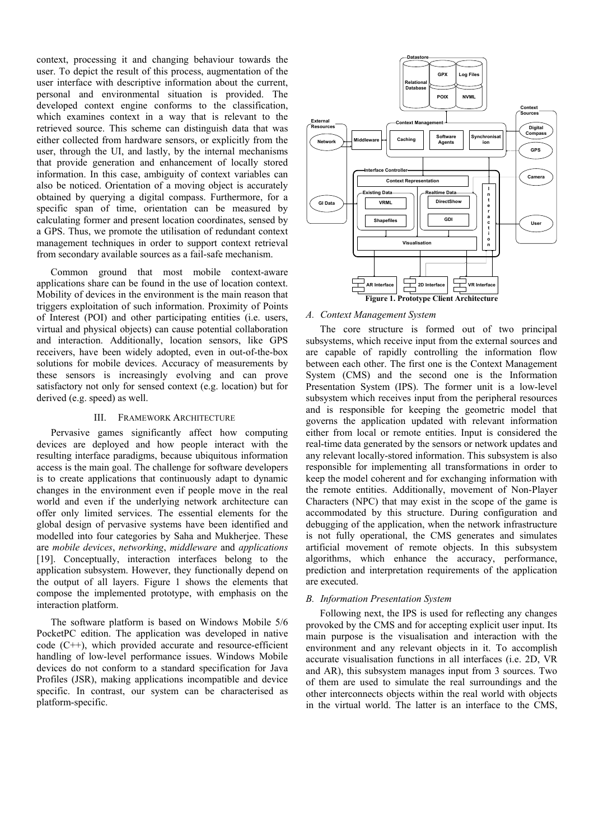context, processing it and changing behaviour towards the user. To depict the result of this process, augmentation of the user interface with descriptive information about the current, personal and environmental situation is provided. The developed context engine conforms to the classification, which examines context in a way that is relevant to the retrieved source. This scheme can distinguish data that was either collected from hardware sensors, or explicitly from the user, through the UI, and lastly, by the internal mechanisms that provide generation and enhancement of locally stored information. In this case, ambiguity of context variables can also be noticed. Orientation of a moving object is accurately obtained by querying a digital compass. Furthermore, for a specific span of time, orientation can be measured by calculating former and present location coordinates, sensed by a GPS. Thus, we promote the utilisation of redundant context management techniques in order to support context retrieval from secondary available sources as a fail-safe mechanism.

Common ground that most mobile context-aware applications share can be found in the use of location context. Mobility of devices in the environment is the main reason that triggers exploitation of such information. Proximity of Points of Interest (POI) and other participating entities (i.e. users, virtual and physical objects) can cause potential collaboration and interaction. Additionally, location sensors, like GPS receivers, have been widely adopted, even in out-of-the-box solutions for mobile devices. Accuracy of measurements by these sensors is increasingly evolving and can prove satisfactory not only for sensed context (e.g. location) but for derived (e.g. speed) as well.

#### III. FRAMEWORK ARCHITECTURE

Pervasive games significantly affect how computing devices are deployed and how people interact with the resulting interface paradigms, because ubiquitous information access is the main goal. The challenge for software developers is to create applications that continuously adapt to dynamic changes in the environment even if people move in the real world and even if the underlying network architecture can offer only limited services. The essential elements for the global design of pervasive systems have been identified and modelled into four categories by Saha and Mukherjee. These are *mobile devices*, *networking*, *middleware* and *applications* [19]. Conceptually, interaction interfaces belong to the application subsystem. However, they functionally depend on the output of all layers. Figure 1 shows the elements that compose the implemented prototype, with emphasis on the interaction platform.

The software platform is based on Windows Mobile 5/6 PocketPC edition. The application was developed in native code (C++), which provided accurate and resource-efficient handling of low-level performance issues. Windows Mobile devices do not conform to a standard specification for Java Profiles (JSR), making applications incompatible and device specific. In contrast, our system can be characterised as platform-specific.



#### *A. Context Management System*

The core structure is formed out of two principal subsystems, which receive input from the external sources and are capable of rapidly controlling the information flow between each other. The first one is the Context Management System (CMS) and the second one is the Information Presentation System (IPS). The former unit is a low-level subsystem which receives input from the peripheral resources and is responsible for keeping the geometric model that governs the application updated with relevant information either from local or remote entities. Input is considered the real-time data generated by the sensors or network updates and any relevant locally-stored information. This subsystem is also responsible for implementing all transformations in order to keep the model coherent and for exchanging information with the remote entities. Additionally, movement of Non-Player Characters (NPC) that may exist in the scope of the game is accommodated by this structure. During configuration and debugging of the application, when the network infrastructure is not fully operational, the CMS generates and simulates artificial movement of remote objects. In this subsystem algorithms, which enhance the accuracy, performance, prediction and interpretation requirements of the application are executed.

#### *B. Information Presentation System*

Following next, the IPS is used for reflecting any changes provoked by the CMS and for accepting explicit user input. Its main purpose is the visualisation and interaction with the environment and any relevant objects in it. To accomplish accurate visualisation functions in all interfaces (i.e. 2D, VR and AR), this subsystem manages input from 3 sources. Two of them are used to simulate the real surroundings and the other interconnects objects within the real world with objects in the virtual world. The latter is an interface to the CMS,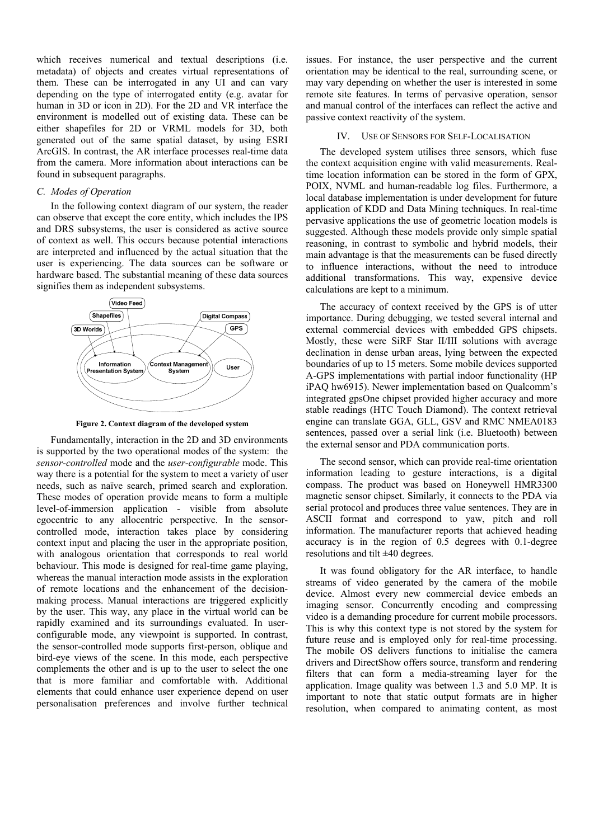which receives numerical and textual descriptions (i.e. metadata) of objects and creates virtual representations of them. These can be interrogated in any UI and can vary depending on the type of interrogated entity (e.g. avatar for human in 3D or icon in 2D). For the 2D and VR interface the environment is modelled out of existing data. These can be either shapefiles for 2D or VRML models for 3D, both generated out of the same spatial dataset, by using ESRI ArcGIS. In contrast, the AR interface processes real-time data from the camera. More information about interactions can be found in subsequent paragraphs.

# *C. Modes of Operation*

In the following context diagram of our system, the reader can observe that except the core entity, which includes the IPS and DRS subsystems, the user is considered as active source of context as well. This occurs because potential interactions are interpreted and influenced by the actual situation that the user is experiencing. The data sources can be software or hardware based. The substantial meaning of these data sources signifies them as independent subsystems.



**Figure 2. Context diagram of the developed system** 

Fundamentally, interaction in the 2D and 3D environments is supported by the two operational modes of the system: the *sensor-controlled* mode and the *user-configurable* mode. This way there is a potential for the system to meet a variety of user needs, such as naïve search, primed search and exploration. These modes of operation provide means to form a multiple level-of-immersion application - visible from absolute egocentric to any allocentric perspective. In the sensorcontrolled mode, interaction takes place by considering context input and placing the user in the appropriate position, with analogous orientation that corresponds to real world behaviour. This mode is designed for real-time game playing, whereas the manual interaction mode assists in the exploration of remote locations and the enhancement of the decisionmaking process. Manual interactions are triggered explicitly by the user. This way, any place in the virtual world can be rapidly examined and its surroundings evaluated. In userconfigurable mode, any viewpoint is supported. In contrast, the sensor-controlled mode supports first-person, oblique and bird-eye views of the scene. In this mode, each perspective complements the other and is up to the user to select the one that is more familiar and comfortable with. Additional elements that could enhance user experience depend on user personalisation preferences and involve further technical

issues. For instance, the user perspective and the current orientation may be identical to the real, surrounding scene, or may vary depending on whether the user is interested in some remote site features. In terms of pervasive operation, sensor and manual control of the interfaces can reflect the active and passive context reactivity of the system.

#### IV. USE OF SENSORS FOR SELF-LOCALISATION

The developed system utilises three sensors, which fuse the context acquisition engine with valid measurements. Realtime location information can be stored in the form of GPX, POIX, NVML and human-readable log files. Furthermore, a local database implementation is under development for future application of KDD and Data Mining techniques. In real-time pervasive applications the use of geometric location models is suggested. Although these models provide only simple spatial reasoning, in contrast to symbolic and hybrid models, their main advantage is that the measurements can be fused directly to influence interactions, without the need to introduce additional transformations. This way, expensive device calculations are kept to a minimum.

The accuracy of context received by the GPS is of utter importance. During debugging, we tested several internal and external commercial devices with embedded GPS chipsets. Mostly, these were SiRF Star II/III solutions with average declination in dense urban areas, lying between the expected boundaries of up to 15 meters. Some mobile devices supported A-GPS implementations with partial indoor functionality (HP iPAQ hw6915). Newer implementation based on Qualcomm's integrated gpsOne chipset provided higher accuracy and more stable readings (HTC Touch Diamond). The context retrieval engine can translate GGA, GLL, GSV and RMC NMEA0183 sentences, passed over a serial link (i.e. Bluetooth) between the external sensor and PDA communication ports.

The second sensor, which can provide real-time orientation information leading to gesture interactions, is a digital compass. The product was based on Honeywell HMR3300 magnetic sensor chipset. Similarly, it connects to the PDA via serial protocol and produces three value sentences. They are in ASCII format and correspond to yaw, pitch and roll information. The manufacturer reports that achieved heading accuracy is in the region of 0.5 degrees with 0.1-degree resolutions and tilt ±40 degrees.

It was found obligatory for the AR interface, to handle streams of video generated by the camera of the mobile device. Almost every new commercial device embeds an imaging sensor. Concurrently encoding and compressing video is a demanding procedure for current mobile processors. This is why this context type is not stored by the system for future reuse and is employed only for real-time processing. The mobile OS delivers functions to initialise the camera drivers and DirectShow offers source, transform and rendering filters that can form a media-streaming layer for the application. Image quality was between 1.3 and 5.0 MP. It is important to note that static output formats are in higher resolution, when compared to animating content, as most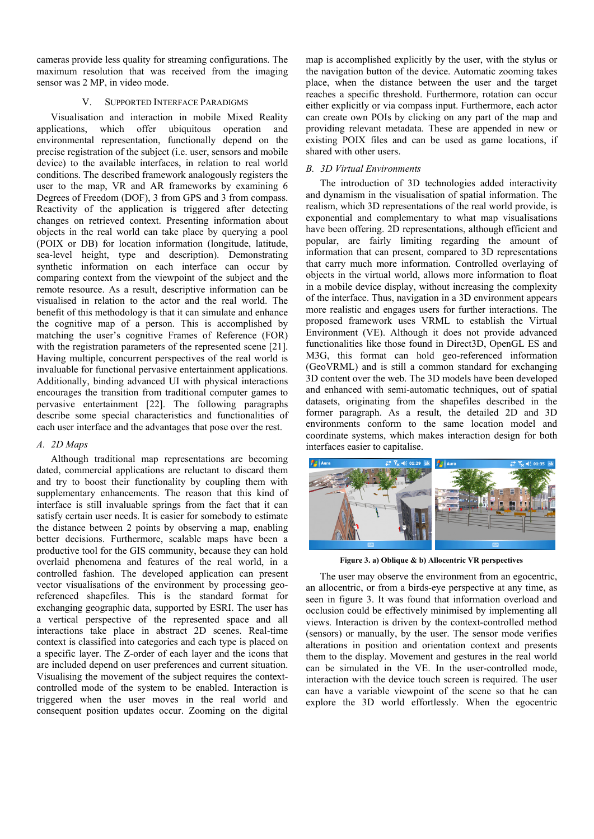cameras provide less quality for streaming configurations. The maximum resolution that was received from the imaging sensor was 2 MP, in video mode.

# V. SUPPORTED INTERFACE PARADIGMS

Visualisation and interaction in mobile Mixed Reality applications, which offer ubiquitous operation and environmental representation, functionally depend on the precise registration of the subject (i.e. user, sensors and mobile device) to the available interfaces, in relation to real world conditions. The described framework analogously registers the user to the map, VR and AR frameworks by examining 6 Degrees of Freedom (DOF), 3 from GPS and 3 from compass. Reactivity of the application is triggered after detecting changes on retrieved context. Presenting information about objects in the real world can take place by querying a pool (POIX or DB) for location information (longitude, latitude, sea-level height, type and description). Demonstrating synthetic information on each interface can occur by comparing context from the viewpoint of the subject and the remote resource. As a result, descriptive information can be visualised in relation to the actor and the real world. The benefit of this methodology is that it can simulate and enhance the cognitive map of a person. This is accomplished by matching the user's cognitive Frames of Reference (FOR) with the registration parameters of the represented scene [21]. Having multiple, concurrent perspectives of the real world is invaluable for functional pervasive entertainment applications. Additionally, binding advanced UI with physical interactions encourages the transition from traditional computer games to pervasive entertainment [22]. The following paragraphs describe some special characteristics and functionalities of each user interface and the advantages that pose over the rest.

#### *A. 2D Maps*

Although traditional map representations are becoming dated, commercial applications are reluctant to discard them and try to boost their functionality by coupling them with supplementary enhancements. The reason that this kind of interface is still invaluable springs from the fact that it can satisfy certain user needs. It is easier for somebody to estimate the distance between 2 points by observing a map, enabling better decisions. Furthermore, scalable maps have been a productive tool for the GIS community, because they can hold overlaid phenomena and features of the real world, in a controlled fashion. The developed application can present vector visualisations of the environment by processing georeferenced shapefiles. This is the standard format for exchanging geographic data, supported by ESRI. The user has a vertical perspective of the represented space and all interactions take place in abstract 2D scenes. Real-time context is classified into categories and each type is placed on a specific layer. The Z-order of each layer and the icons that are included depend on user preferences and current situation. Visualising the movement of the subject requires the contextcontrolled mode of the system to be enabled. Interaction is triggered when the user moves in the real world and consequent position updates occur. Zooming on the digital

map is accomplished explicitly by the user, with the stylus or the navigation button of the device. Automatic zooming takes place, when the distance between the user and the target reaches a specific threshold. Furthermore, rotation can occur either explicitly or via compass input. Furthermore, each actor can create own POIs by clicking on any part of the map and providing relevant metadata. These are appended in new or existing POIX files and can be used as game locations, if shared with other users.

# *B. 3D Virtual Environments*

The introduction of 3D technologies added interactivity and dynamism in the visualisation of spatial information. The realism, which 3D representations of the real world provide, is exponential and complementary to what map visualisations have been offering. 2D representations, although efficient and popular, are fairly limiting regarding the amount of information that can present, compared to 3D representations that carry much more information. Controlled overlaying of objects in the virtual world, allows more information to float in a mobile device display, without increasing the complexity of the interface. Thus, navigation in a 3D environment appears more realistic and engages users for further interactions. The proposed framework uses VRML to establish the Virtual Environment (VE). Although it does not provide advanced functionalities like those found in Direct3D, OpenGL ES and M3G, this format can hold geo-referenced information (GeoVRML) and is still a common standard for exchanging 3D content over the web. The 3D models have been developed and enhanced with semi-automatic techniques, out of spatial datasets, originating from the shapefiles described in the former paragraph. As a result, the detailed 2D and 3D environments conform to the same location model and coordinate systems, which makes interaction design for both interfaces easier to capitalise.



**Figure 3. a) Oblique & b) Allocentric VR perspectives**

The user may observe the environment from an egocentric, an allocentric, or from a birds-eye perspective at any time, as seen in figure 3. It was found that information overload and occlusion could be effectively minimised by implementing all views. Interaction is driven by the context-controlled method (sensors) or manually, by the user. The sensor mode verifies alterations in position and orientation context and presents them to the display. Movement and gestures in the real world can be simulated in the VE. In the user-controlled mode, interaction with the device touch screen is required. The user can have a variable viewpoint of the scene so that he can explore the 3D world effortlessly. When the egocentric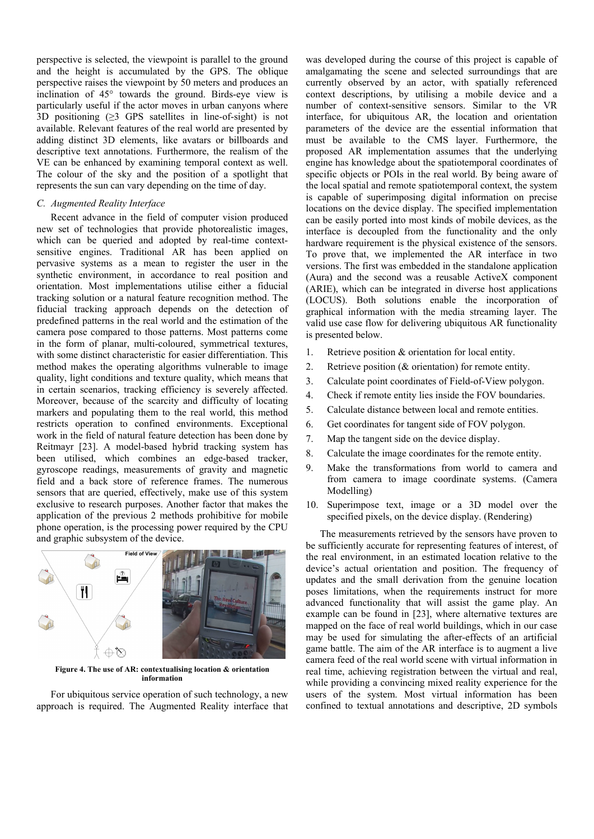perspective is selected, the viewpoint is parallel to the ground and the height is accumulated by the GPS. The oblique perspective raises the viewpoint by 50 meters and produces an inclination of 45° towards the ground. Birds-eye view is particularly useful if the actor moves in urban canyons where 3D positioning  $(\geq 3$  GPS satellites in line-of-sight) is not available. Relevant features of the real world are presented by adding distinct 3D elements, like avatars or billboards and descriptive text annotations. Furthermore, the realism of the VE can be enhanced by examining temporal context as well. The colour of the sky and the position of a spotlight that represents the sun can vary depending on the time of day.

# *C. Augmented Reality Interface*

Recent advance in the field of computer vision produced new set of technologies that provide photorealistic images, which can be queried and adopted by real-time contextsensitive engines. Traditional AR has been applied on pervasive systems as a mean to register the user in the synthetic environment, in accordance to real position and orientation. Most implementations utilise either a fiducial tracking solution or a natural feature recognition method. The fiducial tracking approach depends on the detection of predefined patterns in the real world and the estimation of the camera pose compared to those patterns. Most patterns come in the form of planar, multi-coloured, symmetrical textures, with some distinct characteristic for easier differentiation. This method makes the operating algorithms vulnerable to image quality, light conditions and texture quality, which means that in certain scenarios, tracking efficiency is severely affected. Moreover, because of the scarcity and difficulty of locating markers and populating them to the real world, this method restricts operation to confined environments. Exceptional work in the field of natural feature detection has been done by Reitmayr [23]. A model-based hybrid tracking system has been utilised, which combines an edge-based tracker, gyroscope readings, measurements of gravity and magnetic field and a back store of reference frames. The numerous sensors that are queried, effectively, make use of this system exclusive to research purposes. Another factor that makes the application of the previous 2 methods prohibitive for mobile phone operation, is the processing power required by the CPU and graphic subsystem of the device.



**Figure 4. The use of AR: contextualising location & orientation information** 

For ubiquitous service operation of such technology, a new approach is required. The Augmented Reality interface that

was developed during the course of this project is capable of amalgamating the scene and selected surroundings that are currently observed by an actor, with spatially referenced context descriptions, by utilising a mobile device and a number of context-sensitive sensors. Similar to the VR interface, for ubiquitous AR, the location and orientation parameters of the device are the essential information that must be available to the CMS layer. Furthermore, the proposed AR implementation assumes that the underlying engine has knowledge about the spatiotemporal coordinates of specific objects or POIs in the real world. By being aware of the local spatial and remote spatiotemporal context, the system is capable of superimposing digital information on precise locations on the device display. The specified implementation can be easily ported into most kinds of mobile devices, as the interface is decoupled from the functionality and the only hardware requirement is the physical existence of the sensors. To prove that, we implemented the AR interface in two versions. The first was embedded in the standalone application (Aura) and the second was a reusable ActiveX component (ARIE), which can be integrated in diverse host applications (LOCUS). Both solutions enable the incorporation of graphical information with the media streaming layer. The valid use case flow for delivering ubiquitous AR functionality is presented below.

- 1. Retrieve position & orientation for local entity.
- 2. Retrieve position (& orientation) for remote entity.
- 3. Calculate point coordinates of Field-of-View polygon.
- 4. Check if remote entity lies inside the FOV boundaries.
- 5. Calculate distance between local and remote entities.
- 6. Get coordinates for tangent side of FOV polygon.
- 7. Map the tangent side on the device display.
- 8. Calculate the image coordinates for the remote entity.
- 9. Make the transformations from world to camera and from camera to image coordinate systems. (Camera Modelling)
- 10. Superimpose text, image or a 3D model over the specified pixels, on the device display. (Rendering)

The measurements retrieved by the sensors have proven to be sufficiently accurate for representing features of interest, of the real environment, in an estimated location relative to the device's actual orientation and position. The frequency of updates and the small derivation from the genuine location poses limitations, when the requirements instruct for more advanced functionality that will assist the game play. An example can be found in [23], where alternative textures are mapped on the face of real world buildings, which in our case may be used for simulating the after-effects of an artificial game battle. The aim of the AR interface is to augment a live camera feed of the real world scene with virtual information in real time, achieving registration between the virtual and real, while providing a convincing mixed reality experience for the users of the system. Most virtual information has been confined to textual annotations and descriptive, 2D symbols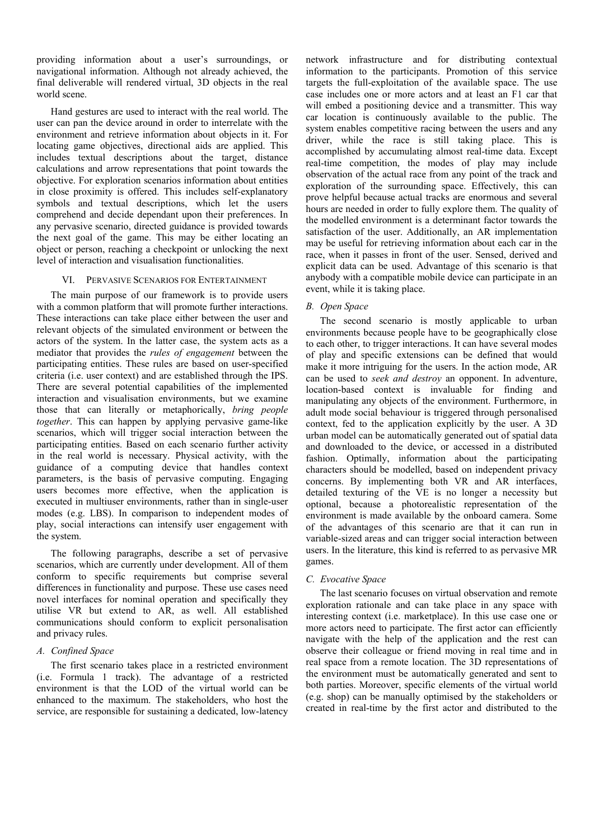providing information about a user's surroundings, or navigational information. Although not already achieved, the final deliverable will rendered virtual, 3D objects in the real world scene.

Hand gestures are used to interact with the real world. The user can pan the device around in order to interrelate with the environment and retrieve information about objects in it. For locating game objectives, directional aids are applied. This includes textual descriptions about the target, distance calculations and arrow representations that point towards the objective. For exploration scenarios information about entities in close proximity is offered. This includes self-explanatory symbols and textual descriptions, which let the users comprehend and decide dependant upon their preferences. In any pervasive scenario, directed guidance is provided towards the next goal of the game. This may be either locating an object or person, reaching a checkpoint or unlocking the next level of interaction and visualisation functionalities.

# PERVASIVE SCENARIOS FOR ENTERTAINMENT

The main purpose of our framework is to provide users with a common platform that will promote further interactions. These interactions can take place either between the user and relevant objects of the simulated environment or between the actors of the system. In the latter case, the system acts as a mediator that provides the *rules of engagement* between the participating entities. These rules are based on user-specified criteria (i.e. user context) and are established through the IPS. There are several potential capabilities of the implemented interaction and visualisation environments, but we examine those that can literally or metaphorically, *bring people together*. This can happen by applying pervasive game-like scenarios, which will trigger social interaction between the participating entities. Based on each scenario further activity in the real world is necessary. Physical activity, with the guidance of a computing device that handles context parameters, is the basis of pervasive computing. Engaging users becomes more effective, when the application is executed in multiuser environments, rather than in single-user modes (e.g. LBS). In comparison to independent modes of play, social interactions can intensify user engagement with the system.

The following paragraphs, describe a set of pervasive scenarios, which are currently under development. All of them conform to specific requirements but comprise several differences in functionality and purpose. These use cases need novel interfaces for nominal operation and specifically they utilise VR but extend to AR, as well. All established communications should conform to explicit personalisation and privacy rules.

#### *A. Confined Space*

The first scenario takes place in a restricted environment (i.e. Formula 1 track). The advantage of a restricted environment is that the LOD of the virtual world can be enhanced to the maximum. The stakeholders, who host the service, are responsible for sustaining a dedicated, low-latency network infrastructure and for distributing contextual information to the participants. Promotion of this service targets the full-exploitation of the available space. The use case includes one or more actors and at least an F1 car that will embed a positioning device and a transmitter. This way car location is continuously available to the public. The system enables competitive racing between the users and any driver, while the race is still taking place. This is accomplished by accumulating almost real-time data. Except real-time competition, the modes of play may include observation of the actual race from any point of the track and exploration of the surrounding space. Effectively, this can prove helpful because actual tracks are enormous and several hours are needed in order to fully explore them. The quality of the modelled environment is a determinant factor towards the satisfaction of the user. Additionally, an AR implementation may be useful for retrieving information about each car in the race, when it passes in front of the user. Sensed, derived and explicit data can be used. Advantage of this scenario is that anybody with a compatible mobile device can participate in an event, while it is taking place.

# *B. Open Space*

The second scenario is mostly applicable to urban environments because people have to be geographically close to each other, to trigger interactions. It can have several modes of play and specific extensions can be defined that would make it more intriguing for the users. In the action mode, AR can be used to *seek and destroy* an opponent. In adventure, location-based context is invaluable for finding and manipulating any objects of the environment. Furthermore, in adult mode social behaviour is triggered through personalised context, fed to the application explicitly by the user. A 3D urban model can be automatically generated out of spatial data and downloaded to the device, or accessed in a distributed fashion. Optimally, information about the participating characters should be modelled, based on independent privacy concerns. By implementing both VR and AR interfaces, detailed texturing of the VE is no longer a necessity but optional, because a photorealistic representation of the environment is made available by the onboard camera. Some of the advantages of this scenario are that it can run in variable-sized areas and can trigger social interaction between users. In the literature, this kind is referred to as pervasive MR games.

#### *C. Evocative Space*

The last scenario focuses on virtual observation and remote exploration rationale and can take place in any space with interesting context (i.e. marketplace). In this use case one or more actors need to participate. The first actor can efficiently navigate with the help of the application and the rest can observe their colleague or friend moving in real time and in real space from a remote location. The 3D representations of the environment must be automatically generated and sent to both parties. Moreover, specific elements of the virtual world (e.g. shop) can be manually optimised by the stakeholders or created in real-time by the first actor and distributed to the